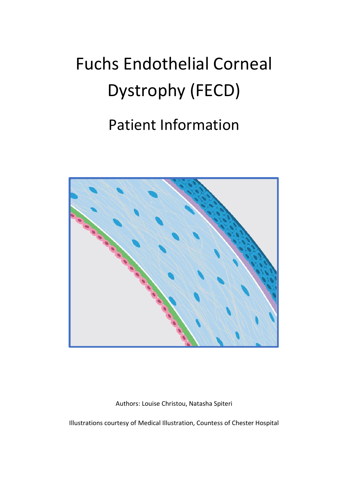# Fuchs Endothelial Corneal Dystrophy (FECD)

## Patient Information



Authors: Louise Christou, Natasha Spiteri

Illustrations courtesy of Medical Illustration, Countess of Chester Hospital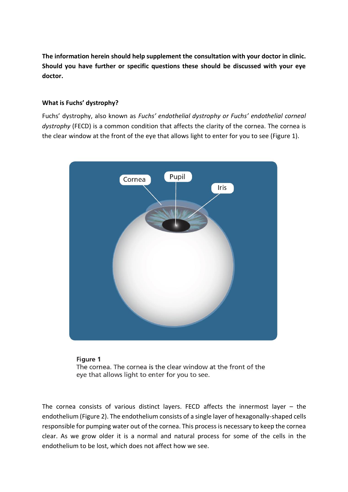**The information herein should help supplement the consultation with your doctor in clinic. Should you have further or specific questions these should be discussed with your eye doctor.**

#### **What is Fuchs' dystrophy?**

Fuchs' dystrophy, also known as *Fuchs' endothelial dystrophy or Fuchs' endothelial corneal dystrophy* (FECD) is a common condition that affects the clarity of the cornea. The cornea is the clear window at the front of the eye that allows light to enter for you to see (Figure 1).





The cornea consists of various distinct layers. FECD affects the innermost layer – the endothelium (Figure 2). The endothelium consists of a single layer of hexagonally-shaped cells responsible for pumping water out of the cornea. This process is necessary to keep the cornea clear. As we grow older it is a normal and natural process for some of the cells in the endothelium to be lost, which does not affect how we see.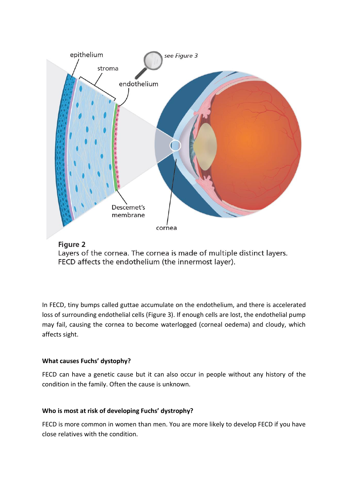



Layers of the cornea. The cornea is made of multiple distinct layers. FECD affects the endothelium (the innermost layer).

In FECD, tiny bumps called guttae accumulate on the endothelium, and there is accelerated loss of surrounding endothelial cells (Figure 3). If enough cells are lost, the endothelial pump may fail, causing the cornea to become waterlogged (corneal oedema) and cloudy, which affects sight.

#### **What causes Fuchs' dystophy?**

FECD can have a genetic cause but it can also occur in people without any history of the condition in the family. Often the cause is unknown.

#### **Who is most at risk of developing Fuchs' dystrophy?**

FECD is more common in women than men. You are more likely to develop FECD if you have close relatives with the condition.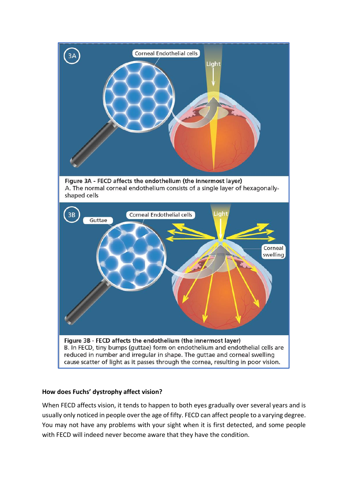

#### **How does Fuchs' dystrophy affect vision?**

When FECD affects vision, it tends to happen to both eyes gradually over several years and is usually only noticed in people over the age of fifty. FECD can affect people to a varying degree. You may not have any problems with your sight when it is first detected, and some people with FECD will indeed never become aware that they have the condition.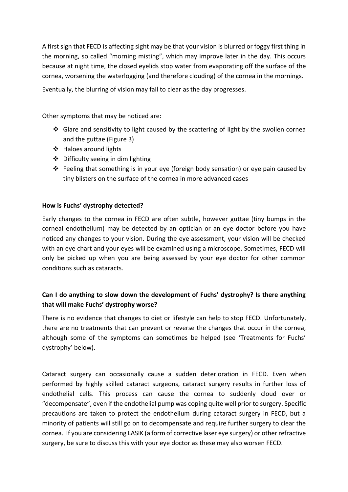A first sign that FECD is affecting sight may be that your vision is blurred or foggy first thing in the morning, so called "morning misting", which may improve later in the day. This occurs because at night time, the closed eyelids stop water from evaporating off the surface of the cornea, worsening the waterlogging (and therefore clouding) of the cornea in the mornings.

Eventually, the blurring of vision may fail to clear as the day progresses.

Other symptoms that may be noticed are:

- $\div$  Glare and sensitivity to light caused by the scattering of light by the swollen cornea and the guttae (Figure 3)
- ❖ Haloes around lights
- ❖ Difficulty seeing in dim lighting
- ❖ Feeling that something is in your eye (foreign body sensation) or eye pain caused by tiny blisters on the surface of the cornea in more advanced cases

#### **How is Fuchs' dystrophy detected?**

Early changes to the cornea in FECD are often subtle, however guttae (tiny bumps in the corneal endothelium) may be detected by an optician or an eye doctor before you have noticed any changes to your vision. During the eye assessment, your vision will be checked with an eye chart and your eyes will be examined using a microscope. Sometimes, FECD will only be picked up when you are being assessed by your eye doctor for other common conditions such as cataracts.

### **Can I do anything to slow down the development of Fuchs' dystrophy? Is there anything that will make Fuchs' dystrophy worse?**

There is no evidence that changes to diet or lifestyle can help to stop FECD. Unfortunately, there are no treatments that can prevent or reverse the changes that occur in the cornea, although some of the symptoms can sometimes be helped (see 'Treatments for Fuchs' dystrophy' below).

Cataract surgery can occasionally cause a sudden deterioration in FECD. Even when performed by highly skilled cataract surgeons, cataract surgery results in further loss of endothelial cells. This process can cause the cornea to suddenly cloud over or "decompensate", even if the endothelial pump was coping quite well prior to surgery. Specific precautions are taken to protect the endothelium during cataract surgery in FECD, but a minority of patients will still go on to decompensate and require further surgery to clear the cornea. If you are considering LASIK (a form of corrective laser eye surgery) or other refractive surgery, be sure to discuss this with your eye doctor as these may also worsen FECD.